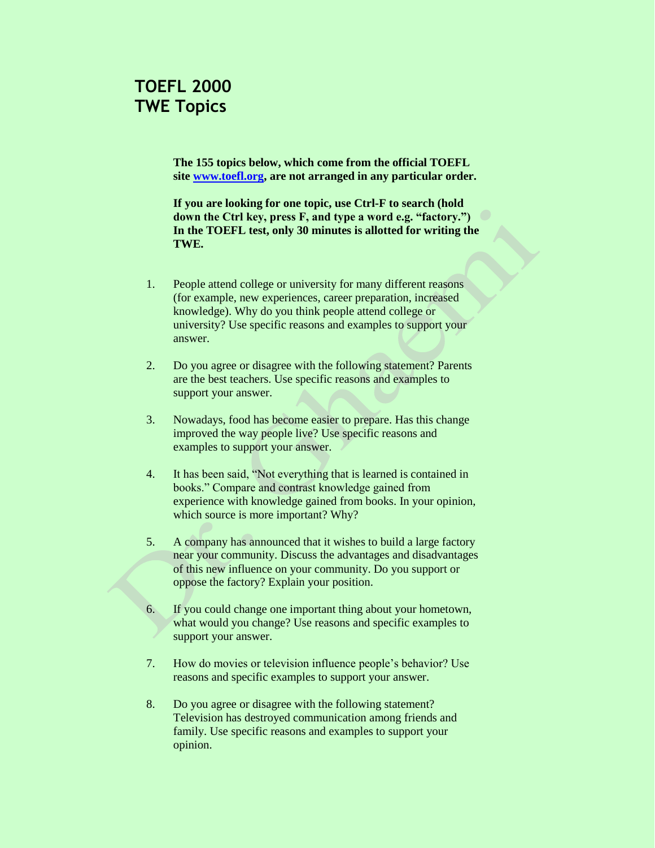## **TOEFL 2000 TWE Topics**

**The 155 topics below, which come from the official TOEFL site [www.toefl.org,](http://www.toefl.org/) are not arranged in any particular order.** 

**If you are looking for one topic, use Ctrl-F to search (hold down the Ctrl key, press F, and type a word e.g. "factory.") In the TOEFL test, only 30 minutes is allotted for writing the TWE.** 

- 1. People attend college or university for many different reasons (for example, new experiences, career preparation, increased knowledge). Why do you think people attend college or university? Use specific reasons and examples to support your answer.
- 2. Do you agree or disagree with the following statement? Parents are the best teachers. Use specific reasons and examples to support your answer.
- 3. Nowadays, food has become easier to prepare. Has this change improved the way people live? Use specific reasons and examples to support your answer.
- 4. It has been said, "Not everything that is learned is contained in books." Compare and contrast knowledge gained from experience with knowledge gained from books. In your opinion, which source is more important? Why?
- 5. A company has announced that it wishes to build a large factory near your community. Discuss the advantages and disadvantages of this new influence on your community. Do you support or oppose the factory? Explain your position.
- 6. If you could change one important thing about your hometown, what would you change? Use reasons and specific examples to support your answer.
- 7. How do movies or television influence people's behavior? Use reasons and specific examples to support your answer.
- 8. Do you agree or disagree with the following statement? Television has destroyed communication among friends and family. Use specific reasons and examples to support your opinion.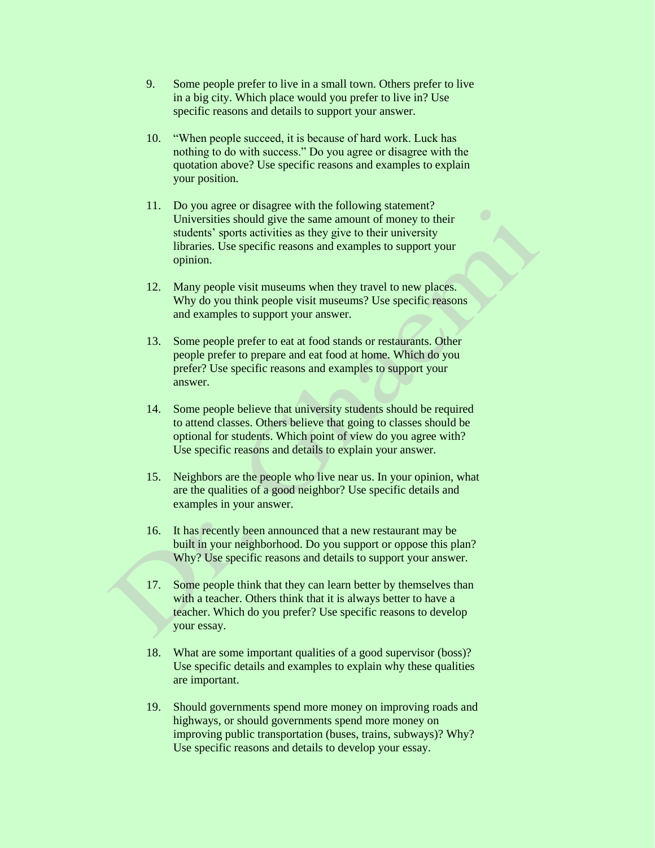- 9. Some people prefer to live in a small town. Others prefer to live in a big city. Which place would you prefer to live in? Use specific reasons and details to support your answer.
- 10. "When people succeed, it is because of hard work. Luck has nothing to do with success." Do you agree or disagree with the quotation above? Use specific reasons and examples to explain your position.
- 11. Do you agree or disagree with the following statement? Universities should give the same amount of money to their students' sports activities as they give to their university libraries. Use specific reasons and examples to support your opinion.
- 12. Many people visit museums when they travel to new places. Why do you think people visit museums? Use specific reasons and examples to support your answer.
- 13. Some people prefer to eat at food stands or restaurants. Other people prefer to prepare and eat food at home. Which do you prefer? Use specific reasons and examples to support your answer.
- 14. Some people believe that university students should be required to attend classes. Others believe that going to classes should be optional for students. Which point of view do you agree with? Use specific reasons and details to explain your answer.
- 15. Neighbors are the people who live near us. In your opinion, what are the qualities of a good neighbor? Use specific details and examples in your answer.
- 16. It has recently been announced that a new restaurant may be built in your neighborhood. Do you support or oppose this plan? Why? Use specific reasons and details to support your answer.
- 17. Some people think that they can learn better by themselves than with a teacher. Others think that it is always better to have a teacher. Which do you prefer? Use specific reasons to develop your essay.
- 18. What are some important qualities of a good supervisor (boss)? Use specific details and examples to explain why these qualities are important.
- 19. Should governments spend more money on improving roads and highways, or should governments spend more money on improving public transportation (buses, trains, subways)? Why? Use specific reasons and details to develop your essay.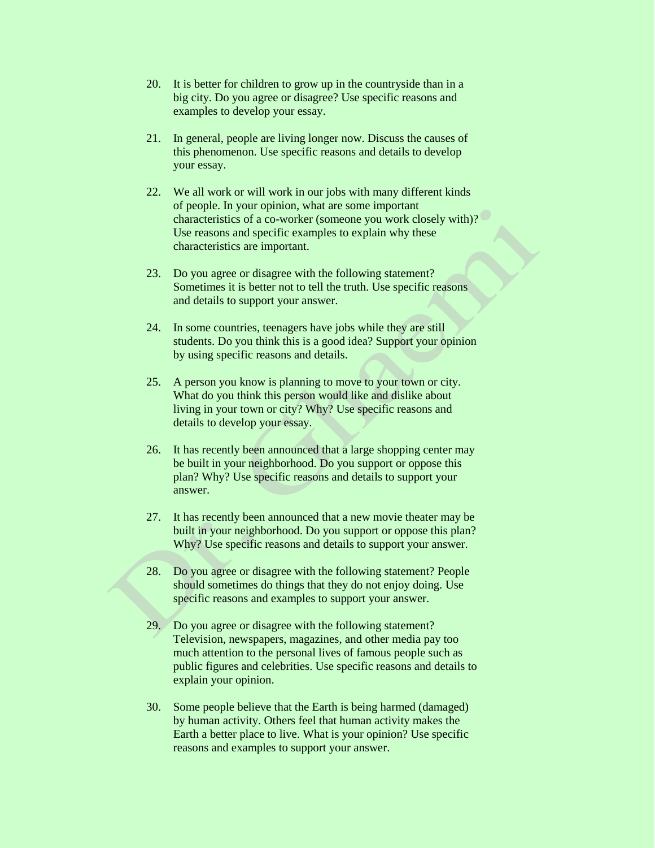- 20. It is better for children to grow up in the countryside than in a big city. Do you agree or disagree? Use specific reasons and examples to develop your essay.
- 21. In general, people are living longer now. Discuss the causes of this phenomenon. Use specific reasons and details to develop your essay.
- 22. We all work or will work in our jobs with many different kinds of people. In your opinion, what are some important characteristics of a co-worker (someone you work closely with)? Use reasons and specific examples to explain why these characteristics are important.
- 23. Do you agree or disagree with the following statement? Sometimes it is better not to tell the truth. Use specific reasons and details to support your answer.
- 24. In some countries, teenagers have jobs while they are still students. Do you think this is a good idea? Support your opinion by using specific reasons and details.
- 25. A person you know is planning to move to your town or city. What do you think this person would like and dislike about living in your town or city? Why? Use specific reasons and details to develop your essay.
- 26. It has recently been announced that a large shopping center may be built in your neighborhood. Do you support or oppose this plan? Why? Use specific reasons and details to support your answer.
- 27. It has recently been announced that a new movie theater may be built in your neighborhood. Do you support or oppose this plan? Why? Use specific reasons and details to support your answer.
- 28. Do you agree or disagree with the following statement? People should sometimes do things that they do not enjoy doing. Use specific reasons and examples to support your answer.
- 29. Do you agree or disagree with the following statement? Television, newspapers, magazines, and other media pay too much attention to the personal lives of famous people such as public figures and celebrities. Use specific reasons and details to explain your opinion.
- 30. Some people believe that the Earth is being harmed (damaged) by human activity. Others feel that human activity makes the Earth a better place to live. What is your opinion? Use specific reasons and examples to support your answer.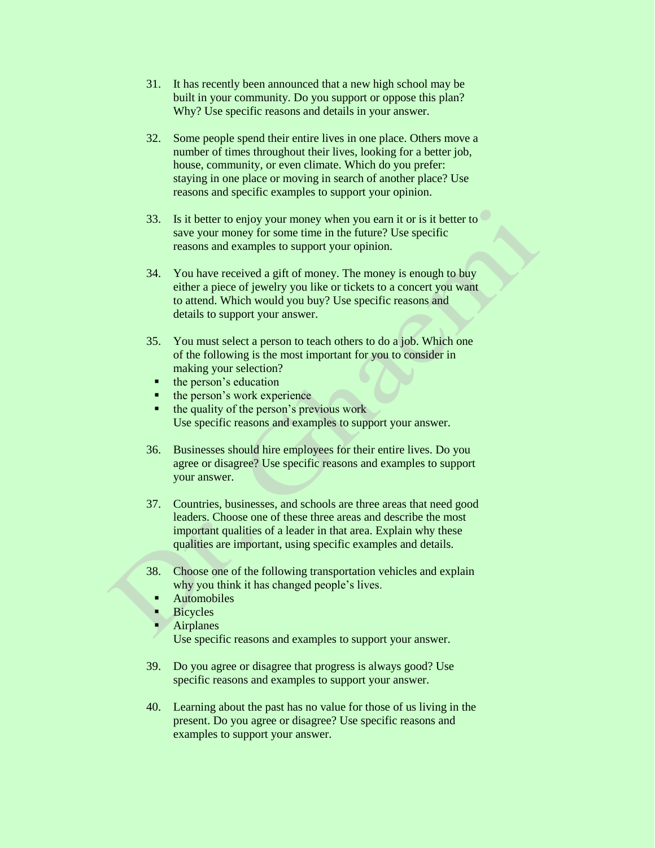- 31. It has recently been announced that a new high school may be built in your community. Do you support or oppose this plan? Why? Use specific reasons and details in your answer.
- 32. Some people spend their entire lives in one place. Others move a number of times throughout their lives, looking for a better job, house, community, or even climate. Which do you prefer: staying in one place or moving in search of another place? Use reasons and specific examples to support your opinion.
- 33. Is it better to enjoy your money when you earn it or is it better to save your money for some time in the future? Use specific reasons and examples to support your opinion.
- 34. You have received a gift of money. The money is enough to buy either a piece of jewelry you like or tickets to a concert you want to attend. Which would you buy? Use specific reasons and details to support your answer.
- 35. You must select a person to teach others to do a job. Which one of the following is the most important for you to consider in making your selection?
	- the person's education
	- the person's work experience<br>• the quality of the person's pre
	- the quality of the person's previous work Use specific reasons and examples to support your answer.
- 36. Businesses should hire employees for their entire lives. Do you agree or disagree? Use specific reasons and examples to support your answer.
- 37. Countries, businesses, and schools are three areas that need good leaders. Choose one of these three areas and describe the most important qualities of a leader in that area. Explain why these qualities are important, using specific examples and details.
- 38. Choose one of the following transportation vehicles and explain why you think it has changed people's lives.
	- Automobiles
	- Bicycles
- Airplanes
	- Use specific reasons and examples to support your answer.
- 39. Do you agree or disagree that progress is always good? Use specific reasons and examples to support your answer.
- 40. Learning about the past has no value for those of us living in the present. Do you agree or disagree? Use specific reasons and examples to support your answer.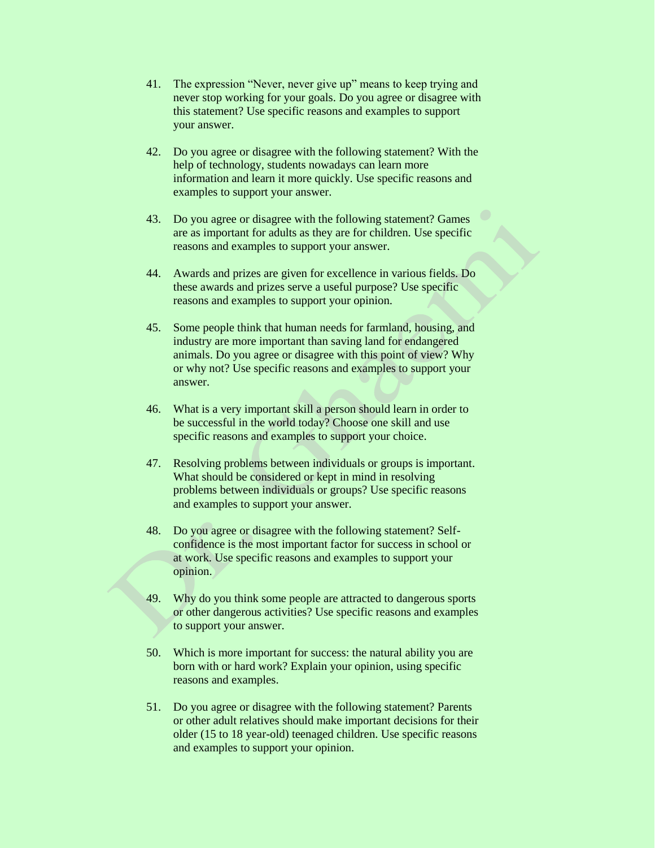- 41. The expression "Never, never give up" means to keep trying and never stop working for your goals. Do you agree or disagree with this statement? Use specific reasons and examples to support your answer.
- 42. Do you agree or disagree with the following statement? With the help of technology, students nowadays can learn more information and learn it more quickly. Use specific reasons and examples to support your answer.
- 43. Do you agree or disagree with the following statement? Games are as important for adults as they are for children. Use specific reasons and examples to support your answer.
- 44. Awards and prizes are given for excellence in various fields. Do these awards and prizes serve a useful purpose? Use specific reasons and examples to support your opinion.
- 45. Some people think that human needs for farmland, housing, and industry are more important than saving land for endangered animals. Do you agree or disagree with this point of view? Why or why not? Use specific reasons and examples to support your answer.
- 46. What is a very important skill a person should learn in order to be successful in the world today? Choose one skill and use specific reasons and examples to support your choice.
- 47. Resolving problems between individuals or groups is important. What should be considered or kept in mind in resolving problems between individuals or groups? Use specific reasons and examples to support your answer.
- 48. Do you agree or disagree with the following statement? Selfconfidence is the most important factor for success in school or at work. Use specific reasons and examples to support your opinion.
- 49. Why do you think some people are attracted to dangerous sports or other dangerous activities? Use specific reasons and examples to support your answer.
- 50. Which is more important for success: the natural ability you are born with or hard work? Explain your opinion, using specific reasons and examples.
- 51. Do you agree or disagree with the following statement? Parents or other adult relatives should make important decisions for their older (15 to 18 year-old) teenaged children. Use specific reasons and examples to support your opinion.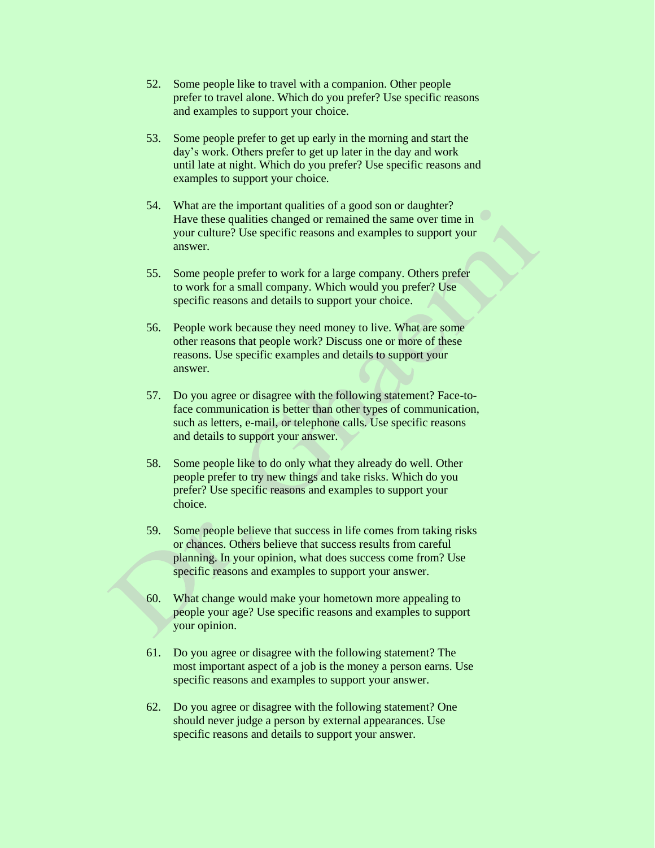- 52. Some people like to travel with a companion. Other people prefer to travel alone. Which do you prefer? Use specific reasons and examples to support your choice.
- 53. Some people prefer to get up early in the morning and start the day's work. Others prefer to get up later in the day and work until late at night. Which do you prefer? Use specific reasons and examples to support your choice.
- 54. What are the important qualities of a good son or daughter? Have these qualities changed or remained the same over time in your culture? Use specific reasons and examples to support your answer.
- 55. Some people prefer to work for a large company. Others prefer to work for a small company. Which would you prefer? Use specific reasons and details to support your choice.
- 56. People work because they need money to live. What are some other reasons that people work? Discuss one or more of these reasons. Use specific examples and details to support your answer.
- 57. Do you agree or disagree with the following statement? Face-toface communication is better than other types of communication, such as letters, e-mail, or telephone calls. Use specific reasons and details to support your answer.
- 58. Some people like to do only what they already do well. Other people prefer to try new things and take risks. Which do you prefer? Use specific reasons and examples to support your choice.
- 59. Some people believe that success in life comes from taking risks or chances. Others believe that success results from careful planning. In your opinion, what does success come from? Use specific reasons and examples to support your answer.
- 60. What change would make your hometown more appealing to people your age? Use specific reasons and examples to support your opinion.
- 61. Do you agree or disagree with the following statement? The most important aspect of a job is the money a person earns. Use specific reasons and examples to support your answer.
- 62. Do you agree or disagree with the following statement? One should never judge a person by external appearances. Use specific reasons and details to support your answer.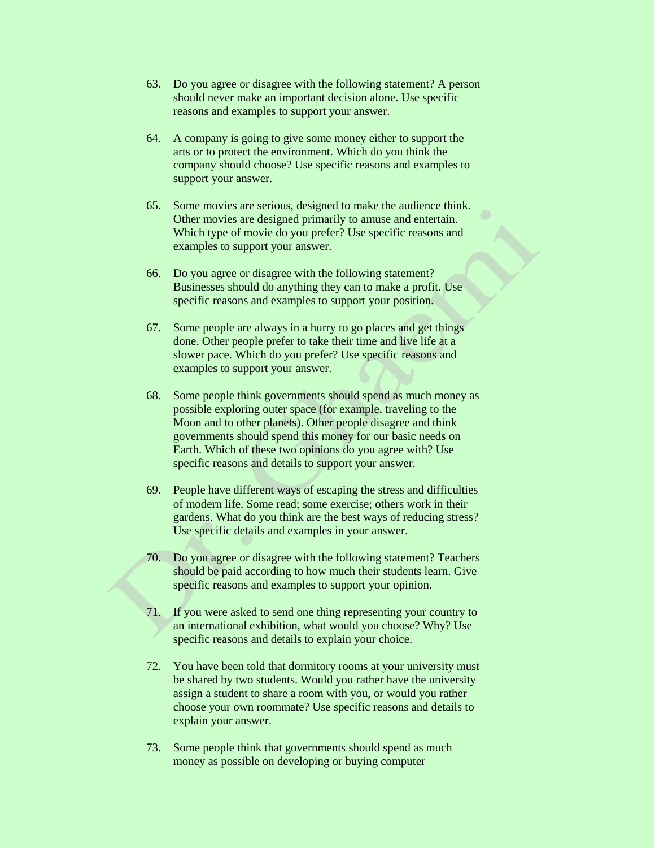- 63. Do you agree or disagree with the following statement? A person should never make an important decision alone. Use specific reasons and examples to support your answer.
- 64. A company is going to give some money either to support the arts or to protect the environment. Which do you think the company should choose? Use specific reasons and examples to support your answer.
- 65. Some movies are serious, designed to make the audience think. Other movies are designed primarily to amuse and entertain. Which type of movie do you prefer? Use specific reasons and examples to support your answer.
- 66. Do you agree or disagree with the following statement? Businesses should do anything they can to make a profit. Use specific reasons and examples to support your position.
- 67. Some people are always in a hurry to go places and get things done. Other people prefer to take their time and live life at a slower pace. Which do you prefer? Use specific reasons and examples to support your answer.
- 68. Some people think governments should spend as much money as possible exploring outer space (for example, traveling to the Moon and to other planets). Other people disagree and think governments should spend this money for our basic needs on Earth. Which of these two opinions do you agree with? Use specific reasons and details to support your answer.
- 69. People have different ways of escaping the stress and difficulties of modern life. Some read; some exercise; others work in their gardens. What do you think are the best ways of reducing stress? Use specific details and examples in your answer.
- 70. Do you agree or disagree with the following statement? Teachers should be paid according to how much their students learn. Give specific reasons and examples to support your opinion.
- 71. If you were asked to send one thing representing your country to an international exhibition, what would you choose? Why? Use specific reasons and details to explain your choice.
- 72. You have been told that dormitory rooms at your university must be shared by two students. Would you rather have the university assign a student to share a room with you, or would you rather choose your own roommate? Use specific reasons and details to explain your answer.
- 73. Some people think that governments should spend as much money as possible on developing or buying computer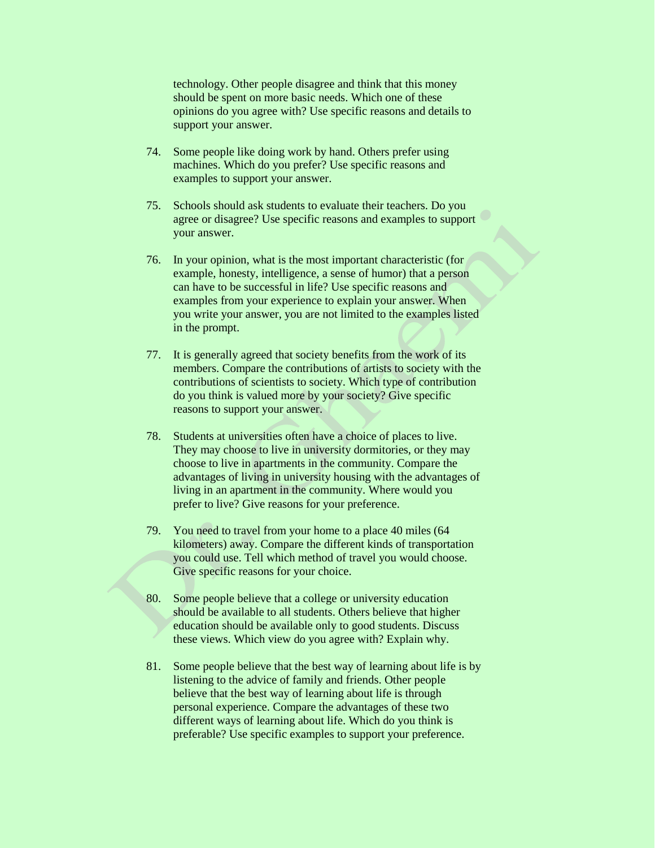technology. Other people disagree and think that this money should be spent on more basic needs. Which one of these opinions do you agree with? Use specific reasons and details to support your answer.

- 74. Some people like doing work by hand. Others prefer using machines. Which do you prefer? Use specific reasons and examples to support your answer.
- 75. Schools should ask students to evaluate their teachers. Do you agree or disagree? Use specific reasons and examples to support your answer.
- 76. In your opinion, what is the most important characteristic (for example, honesty, intelligence, a sense of humor) that a person can have to be successful in life? Use specific reasons and examples from your experience to explain your answer. When you write your answer, you are not limited to the examples listed in the prompt.
- 77. It is generally agreed that society benefits from the work of its members. Compare the contributions of artists to society with the contributions of scientists to society. Which type of contribution do you think is valued more by your society? Give specific reasons to support your answer.
- 78. Students at universities often have a choice of places to live. They may choose to live in university dormitories, or they may choose to live in apartments in the community. Compare the advantages of living in university housing with the advantages of living in an apartment in the community. Where would you prefer to live? Give reasons for your preference.
- 79. You need to travel from your home to a place 40 miles (64 kilometers) away. Compare the different kinds of transportation you could use. Tell which method of travel you would choose. Give specific reasons for your choice.
- 80. Some people believe that a college or university education should be available to all students. Others believe that higher education should be available only to good students. Discuss these views. Which view do you agree with? Explain why.
- 81. Some people believe that the best way of learning about life is by listening to the advice of family and friends. Other people believe that the best way of learning about life is through personal experience. Compare the advantages of these two different ways of learning about life. Which do you think is preferable? Use specific examples to support your preference.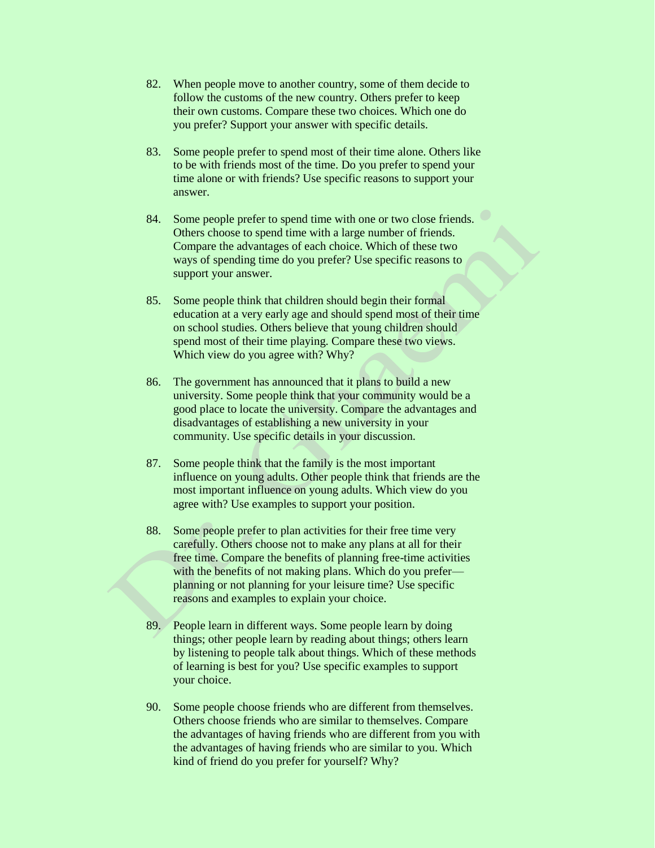- 82. When people move to another country, some of them decide to follow the customs of the new country. Others prefer to keep their own customs. Compare these two choices. Which one do you prefer? Support your answer with specific details.
- 83. Some people prefer to spend most of their time alone. Others like to be with friends most of the time. Do you prefer to spend your time alone or with friends? Use specific reasons to support your answer.
- 84. Some people prefer to spend time with one or two close friends. Others choose to spend time with a large number of friends. Compare the advantages of each choice. Which of these two ways of spending time do you prefer? Use specific reasons to support your answer.
- 85. Some people think that children should begin their formal education at a very early age and should spend most of their time on school studies. Others believe that young children should spend most of their time playing. Compare these two views. Which view do you agree with? Why?
- 86. The government has announced that it plans to build a new university. Some people think that your community would be a good place to locate the university. Compare the advantages and disadvantages of establishing a new university in your community. Use specific details in your discussion.
- 87. Some people think that the family is the most important influence on young adults. Other people think that friends are the most important influence on young adults. Which view do you agree with? Use examples to support your position.
- 88. Some people prefer to plan activities for their free time very carefully. Others choose not to make any plans at all for their free time. Compare the benefits of planning free-time activities with the benefits of not making plans. Which do you prefer planning or not planning for your leisure time? Use specific reasons and examples to explain your choice.
- 89. People learn in different ways. Some people learn by doing things; other people learn by reading about things; others learn by listening to people talk about things. Which of these methods of learning is best for you? Use specific examples to support your choice.
- 90. Some people choose friends who are different from themselves. Others choose friends who are similar to themselves. Compare the advantages of having friends who are different from you with the advantages of having friends who are similar to you. Which kind of friend do you prefer for yourself? Why?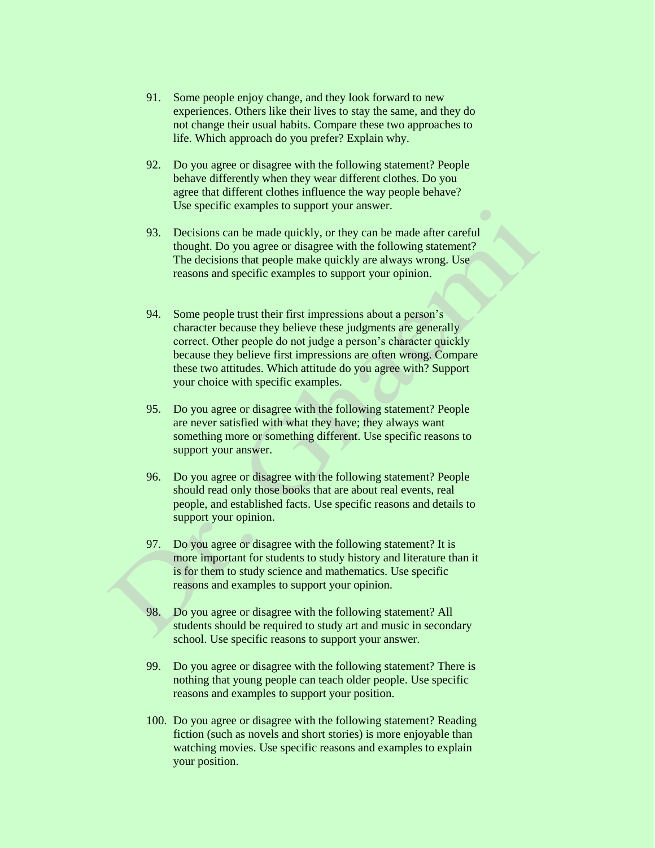- 91. Some people enjoy change, and they look forward to new experiences. Others like their lives to stay the same, and they do not change their usual habits. Compare these two approaches to life. Which approach do you prefer? Explain why.
- 92. Do you agree or disagree with the following statement? People behave differently when they wear different clothes. Do you agree that different clothes influence the way people behave? Use specific examples to support your answer.
- 93. Decisions can be made quickly, or they can be made after careful thought. Do you agree or disagree with the following statement? The decisions that people make quickly are always wrong. Use reasons and specific examples to support your opinion.
- 94. Some people trust their first impressions about a person's character because they believe these judgments are generally correct. Other people do not judge a person's character quickly because they believe first impressions are often wrong. Compare these two attitudes. Which attitude do you agree with? Support your choice with specific examples.
- 95. Do you agree or disagree with the following statement? People are never satisfied with what they have; they always want something more or something different. Use specific reasons to support your answer.
- 96. Do you agree or disagree with the following statement? People should read only those books that are about real events, real people, and established facts. Use specific reasons and details to support your opinion.
- 97. Do you agree or disagree with the following statement? It is more important for students to study history and literature than it is for them to study science and mathematics. Use specific reasons and examples to support your opinion.
- 98. Do you agree or disagree with the following statement? All students should be required to study art and music in secondary school. Use specific reasons to support your answer.
- 99. Do you agree or disagree with the following statement? There is nothing that young people can teach older people. Use specific reasons and examples to support your position.
- 100. Do you agree or disagree with the following statement? Reading fiction (such as novels and short stories) is more enjoyable than watching movies. Use specific reasons and examples to explain your position.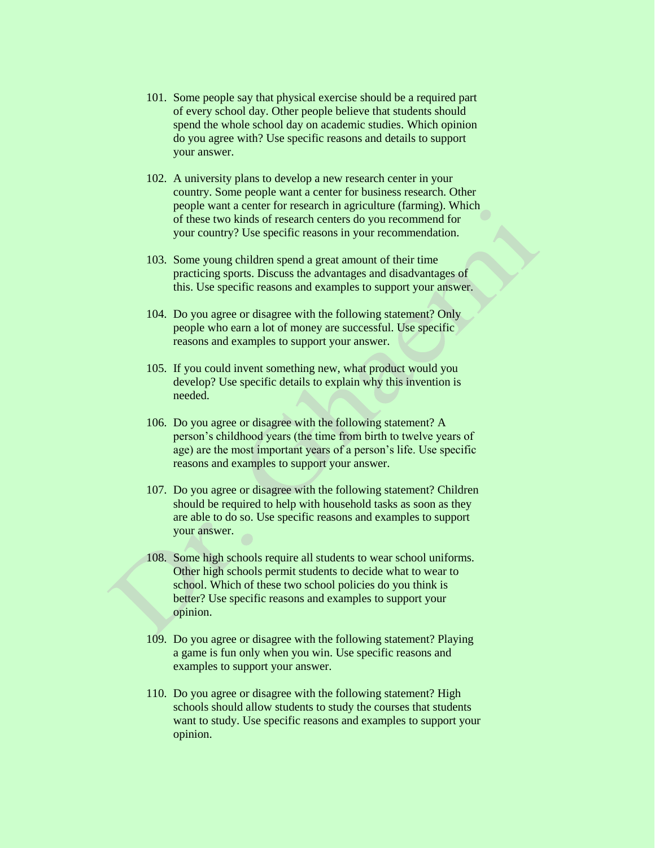- 101. Some people say that physical exercise should be a required part of every school day. Other people believe that students should spend the whole school day on academic studies. Which opinion do you agree with? Use specific reasons and details to support your answer.
- 102. A university plans to develop a new research center in your country. Some people want a center for business research. Other people want a center for research in agriculture (farming). Which of these two kinds of research centers do you recommend for your country? Use specific reasons in your recommendation.
- 103. Some young children spend a great amount of their time practicing sports. Discuss the advantages and disadvantages of this. Use specific reasons and examples to support your answer.
- 104. Do you agree or disagree with the following statement? Only people who earn a lot of money are successful. Use specific reasons and examples to support your answer.
- 105. If you could invent something new, what product would you develop? Use specific details to explain why this invention is needed.
- 106. Do you agree or disagree with the following statement? A person's childhood years (the time from birth to twelve years of age) are the most important years of a person's life. Use specific reasons and examples to support your answer.
- 107. Do you agree or disagree with the following statement? Children should be required to help with household tasks as soon as they are able to do so. Use specific reasons and examples to support your answer.
- 108. Some high schools require all students to wear school uniforms. Other high schools permit students to decide what to wear to school. Which of these two school policies do you think is better? Use specific reasons and examples to support your opinion.
- 109. Do you agree or disagree with the following statement? Playing a game is fun only when you win. Use specific reasons and examples to support your answer.
- 110. Do you agree or disagree with the following statement? High schools should allow students to study the courses that students want to study. Use specific reasons and examples to support your opinion.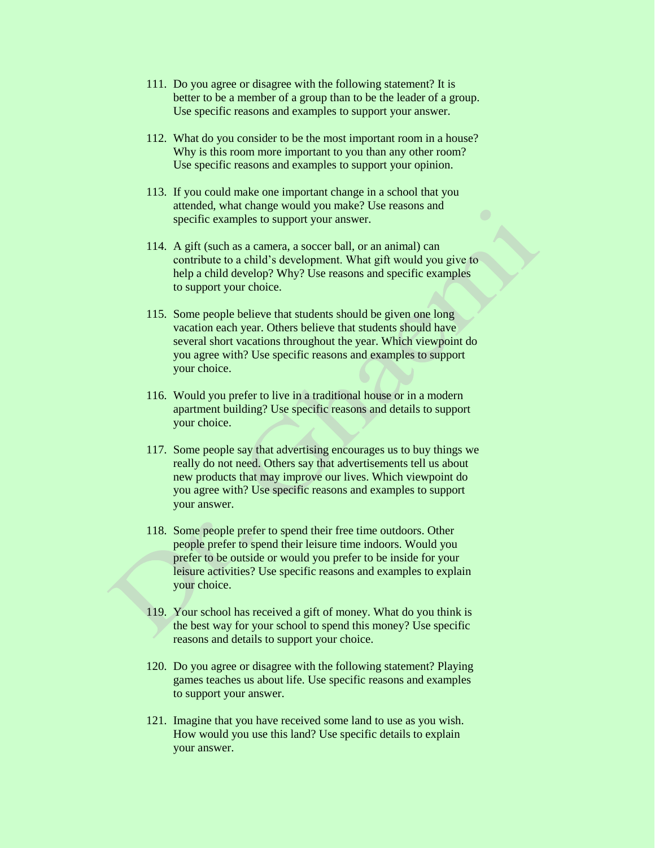- 111. Do you agree or disagree with the following statement? It is better to be a member of a group than to be the leader of a group. Use specific reasons and examples to support your answer.
- 112. What do you consider to be the most important room in a house? Why is this room more important to you than any other room? Use specific reasons and examples to support your opinion.
- 113. If you could make one important change in a school that you attended, what change would you make? Use reasons and specific examples to support your answer.
- 114. A gift (such as a camera, a soccer ball, or an animal) can contribute to a child's development. What gift would you give to help a child develop? Why? Use reasons and specific examples to support your choice.
- 115. Some people believe that students should be given one long vacation each year. Others believe that students should have several short vacations throughout the year. Which viewpoint do you agree with? Use specific reasons and examples to support your choice.
- 116. Would you prefer to live in a traditional house or in a modern apartment building? Use specific reasons and details to support your choice.
- 117. Some people say that advertising encourages us to buy things we really do not need. Others say that advertisements tell us about new products that may improve our lives. Which viewpoint do you agree with? Use specific reasons and examples to support your answer.
- 118. Some people prefer to spend their free time outdoors. Other people prefer to spend their leisure time indoors. Would you prefer to be outside or would you prefer to be inside for your leisure activities? Use specific reasons and examples to explain your choice.
- 119. Your school has received a gift of money. What do you think is the best way for your school to spend this money? Use specific reasons and details to support your choice.
- 120. Do you agree or disagree with the following statement? Playing games teaches us about life. Use specific reasons and examples to support your answer.
- 121. Imagine that you have received some land to use as you wish. How would you use this land? Use specific details to explain your answer.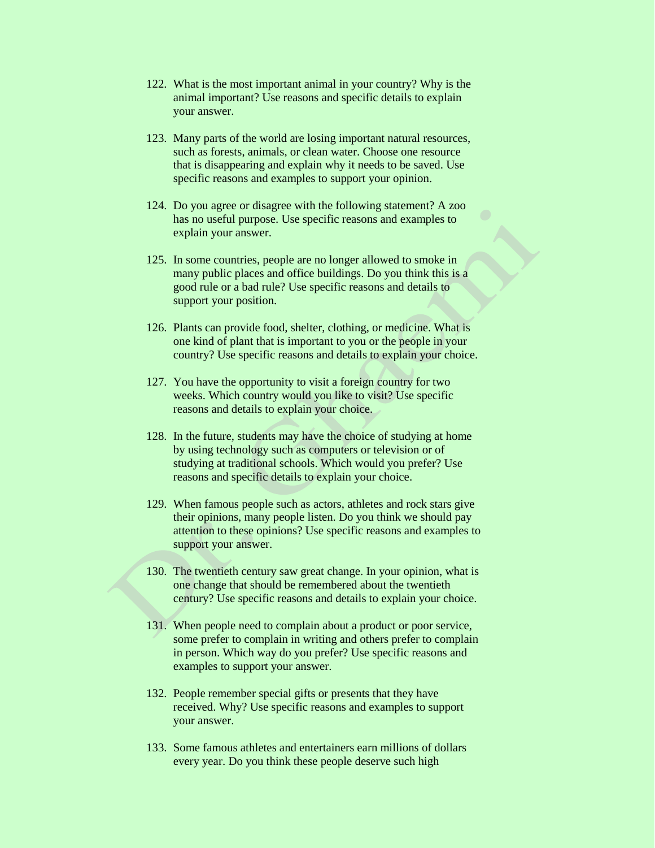- 122. What is the most important animal in your country? Why is the animal important? Use reasons and specific details to explain your answer.
- 123. Many parts of the world are losing important natural resources, such as forests, animals, or clean water. Choose one resource that is disappearing and explain why it needs to be saved. Use specific reasons and examples to support your opinion.
- 124. Do you agree or disagree with the following statement? A zoo has no useful purpose. Use specific reasons and examples to explain your answer.
- 125. In some countries, people are no longer allowed to smoke in many public places and office buildings. Do you think this is a good rule or a bad rule? Use specific reasons and details to support your position.
- 126. Plants can provide food, shelter, clothing, or medicine. What is one kind of plant that is important to you or the people in your country? Use specific reasons and details to explain your choice.
- 127. You have the opportunity to visit a foreign country for two weeks. Which country would you like to visit? Use specific reasons and details to explain your choice.
- 128. In the future, students may have the choice of studying at home by using technology such as computers or television or of studying at traditional schools. Which would you prefer? Use reasons and specific details to explain your choice.
- 129. When famous people such as actors, athletes and rock stars give their opinions, many people listen. Do you think we should pay attention to these opinions? Use specific reasons and examples to support your answer.
- 130. The twentieth century saw great change. In your opinion, what is one change that should be remembered about the twentieth century? Use specific reasons and details to explain your choice.
- 131. When people need to complain about a product or poor service, some prefer to complain in writing and others prefer to complain in person. Which way do you prefer? Use specific reasons and examples to support your answer.
- 132. People remember special gifts or presents that they have received. Why? Use specific reasons and examples to support your answer.
- 133. Some famous athletes and entertainers earn millions of dollars every year. Do you think these people deserve such high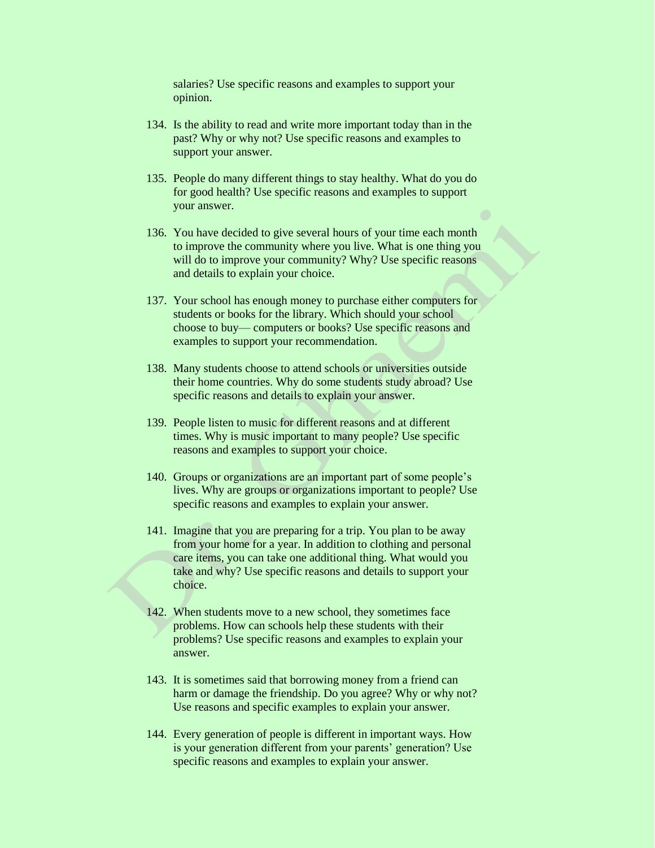salaries? Use specific reasons and examples to support your opinion.

- 134. Is the ability to read and write more important today than in the past? Why or why not? Use specific reasons and examples to support your answer.
- 135. People do many different things to stay healthy. What do you do for good health? Use specific reasons and examples to support your answer.
- 136. You have decided to give several hours of your time each month to improve the community where you live. What is one thing you will do to improve your community? Why? Use specific reasons and details to explain your choice.
- 137. Your school has enough money to purchase either computers for students or books for the library. Which should your school choose to buy— computers or books? Use specific reasons and examples to support your recommendation.
- 138. Many students choose to attend schools or universities outside their home countries. Why do some students study abroad? Use specific reasons and details to explain your answer.
- 139. People listen to music for different reasons and at different times. Why is music important to many people? Use specific reasons and examples to support your choice.
- 140. Groups or organizations are an important part of some people's lives. Why are groups or organizations important to people? Use specific reasons and examples to explain your answer.
- 141. Imagine that you are preparing for a trip. You plan to be away from your home for a year. In addition to clothing and personal care items, you can take one additional thing. What would you take and why? Use specific reasons and details to support your choice.
- 142. When students move to a new school, they sometimes face problems. How can schools help these students with their problems? Use specific reasons and examples to explain your answer.
- 143. It is sometimes said that borrowing money from a friend can harm or damage the friendship. Do you agree? Why or why not? Use reasons and specific examples to explain your answer.
- 144. Every generation of people is different in important ways. How is your generation different from your parents' generation? Use specific reasons and examples to explain your answer.